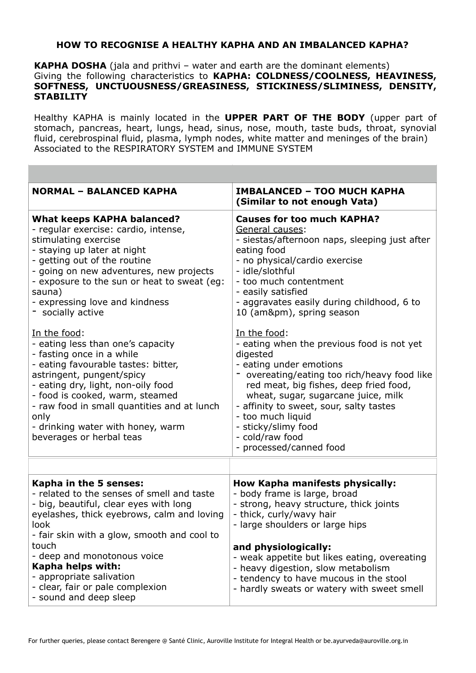## **HOW TO RECOGNISE A HEALTHY KAPHA AND AN IMBALANCED KAPHA?**

**KAPHA DOSHA** (jala and prithvi – water and earth are the dominant elements) Giving the following characteristics to **KAPHA: COLDNESS/COOLNESS, HEAVINESS, SOFTNESS, UNCTUOUSNESS/GREASINESS, STICKINESS/SLIMINESS, DENSITY, STABILITY**

Healthy KAPHA is mainly located in the **UPPER PART OF THE BODY** (upper part of stomach, pancreas, heart, lungs, head, sinus, nose, mouth, taste buds, throat, synovial fluid, cerebrospinal fluid, plasma, lymph nodes, white matter and meninges of the brain) Associated to the RESPIRATORY SYSTEM and IMMUNE SYSTEM

| <b>NORMAL - BALANCED KAPHA</b>                                                                                                                                                                                                                                                                                                                      | <b>IMBALANCED - TOO MUCH KAPHA</b><br>(Similar to not enough Vata)                                                                                                                                                                                                                                                                                                    |
|-----------------------------------------------------------------------------------------------------------------------------------------------------------------------------------------------------------------------------------------------------------------------------------------------------------------------------------------------------|-----------------------------------------------------------------------------------------------------------------------------------------------------------------------------------------------------------------------------------------------------------------------------------------------------------------------------------------------------------------------|
| <b>What keeps KAPHA balanced?</b><br>- regular exercise: cardio, intense,<br>stimulating exercise<br>- staying up later at night<br>- getting out of the routine<br>- going on new adventures, new projects<br>- exposure to the sun or heat to sweat (eg:<br>sauna)<br>- expressing love and kindness<br>- socially active                         | <b>Causes for too much KAPHA?</b><br>General causes:<br>- siestas/afternoon naps, sleeping just after<br>eating food<br>- no physical/cardio exercise<br>- idle/slothful<br>- too much contentment<br>- easily satisfied<br>- aggravates easily during childhood, 6 to<br>10 (am±), spring season                                                                     |
| In the food:<br>- eating less than one's capacity<br>- fasting once in a while<br>- eating favourable tastes: bitter,<br>astringent, pungent/spicy<br>- eating dry, light, non-oily food<br>- food is cooked, warm, steamed<br>- raw food in small quantities and at lunch<br>only<br>- drinking water with honey, warm<br>beverages or herbal teas | In the food:<br>- eating when the previous food is not yet<br>digested<br>- eating under emotions<br>overeating/eating too rich/heavy food like<br>red meat, big fishes, deep fried food,<br>wheat, sugar, sugarcane juice, milk<br>- affinity to sweet, sour, salty tastes<br>- too much liquid<br>- sticky/slimy food<br>- cold/raw food<br>- processed/canned food |
|                                                                                                                                                                                                                                                                                                                                                     |                                                                                                                                                                                                                                                                                                                                                                       |
| Kapha in the 5 senses:<br>- related to the senses of smell and taste<br>- big, beautiful, clear eyes with long<br>eyelashes, thick eyebrows, calm and loving<br>look<br>- fair skin with a glow, smooth and cool to                                                                                                                                 | <b>How Kapha manifests physically:</b><br>- body frame is large, broad<br>- strong, heavy structure, thick joints<br>- thick, curly/wavy hair<br>- large shoulders or large hips                                                                                                                                                                                      |
| touch<br>- deep and monotonous voice<br>Kapha helps with:<br>- appropriate salivation<br>- clear, fair or pale complexion<br>- sound and deep sleep                                                                                                                                                                                                 | and physiologically:<br>- weak appetite but likes eating, overeating<br>- heavy digestion, slow metabolism<br>- tendency to have mucous in the stool<br>- hardly sweats or watery with sweet smell                                                                                                                                                                    |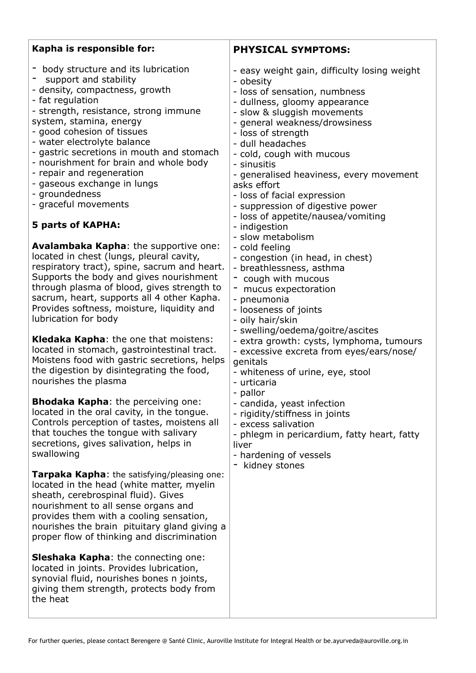| Kapha is responsible for:                                                                                                                                                                                                                                                                                                                                                                                                                                                                                                                                                                                                                                                                                                                                                                                                                                                                                                                                                                                                                                                                                                                                                                                                                                                                                                                                                                                                                                                                                                                                                                                                                                                                                                                                                                                                      | <b>PHYSICAL SYMPTOMS:</b>                                                                                                                                                                                                                                                                                                                                                                                                                                                                                                                                                                                                                                                                                                                                                                                                                                                                                                                                                                                                                                                                 |
|--------------------------------------------------------------------------------------------------------------------------------------------------------------------------------------------------------------------------------------------------------------------------------------------------------------------------------------------------------------------------------------------------------------------------------------------------------------------------------------------------------------------------------------------------------------------------------------------------------------------------------------------------------------------------------------------------------------------------------------------------------------------------------------------------------------------------------------------------------------------------------------------------------------------------------------------------------------------------------------------------------------------------------------------------------------------------------------------------------------------------------------------------------------------------------------------------------------------------------------------------------------------------------------------------------------------------------------------------------------------------------------------------------------------------------------------------------------------------------------------------------------------------------------------------------------------------------------------------------------------------------------------------------------------------------------------------------------------------------------------------------------------------------------------------------------------------------|-------------------------------------------------------------------------------------------------------------------------------------------------------------------------------------------------------------------------------------------------------------------------------------------------------------------------------------------------------------------------------------------------------------------------------------------------------------------------------------------------------------------------------------------------------------------------------------------------------------------------------------------------------------------------------------------------------------------------------------------------------------------------------------------------------------------------------------------------------------------------------------------------------------------------------------------------------------------------------------------------------------------------------------------------------------------------------------------|
| - body structure and its lubrication<br>support and stability<br>- density, compactness, growth<br>- fat regulation<br>- strength, resistance, strong immune<br>system, stamina, energy<br>- good cohesion of tissues<br>- water electrolyte balance<br>- gastric secretions in mouth and stomach<br>- nourishment for brain and whole body<br>- repair and regeneration<br>- gaseous exchange in lungs<br>- groundedness<br>- graceful movements<br><b>5 parts of KAPHA:</b><br><b>Avalambaka Kapha:</b> the supportive one:<br>located in chest (lungs, pleural cavity,<br>respiratory tract), spine, sacrum and heart.<br>Supports the body and gives nourishment<br>through plasma of blood, gives strength to<br>sacrum, heart, supports all 4 other Kapha.<br>Provides softness, moisture, liquidity and<br>lubrication for body<br><b>Kledaka Kapha:</b> the one that moistens:<br>located in stomach, gastrointestinal tract.<br>Moistens food with gastric secretions, helps<br>the digestion by disintegrating the food,<br>nourishes the plasma<br><b>Bhodaka Kapha:</b> the perceiving one:<br>located in the oral cavity, in the tongue.<br>Controls perception of tastes, moistens all<br>that touches the tongue with salivary<br>secretions, gives salivation, helps in<br>swallowing<br><b>Tarpaka Kapha:</b> the satisfying/pleasing one:<br>located in the head (white matter, myelin<br>sheath, cerebrospinal fluid). Gives<br>nourishment to all sense organs and<br>provides them with a cooling sensation,<br>nourishes the brain pituitary gland giving a<br>proper flow of thinking and discrimination<br><b>Sleshaka Kapha:</b> the connecting one:<br>located in joints. Provides lubrication,<br>synovial fluid, nourishes bones n joints,<br>giving them strength, protects body from<br>the heat | - easy weight gain, difficulty losing weight<br>- obesity<br>- loss of sensation, numbness<br>- dullness, gloomy appearance<br>- slow & sluggish movements<br>- general weakness/drowsiness<br>- loss of strength<br>- dull headaches<br>- cold, cough with mucous<br>- sinusitis<br>- generalised heaviness, every movement<br>asks effort<br>- loss of facial expression<br>- suppression of digestive power<br>- loss of appetite/nausea/vomiting<br>- indigestion<br>- slow metabolism<br>- cold feeling<br>- congestion (in head, in chest)<br>- breathlessness, asthma<br>- cough with mucous<br>- mucus expectoration<br>- pneumonia<br>- looseness of joints<br>- oily hair/skin<br>- swelling/oedema/goitre/ascites<br>- extra growth: cysts, lymphoma, tumours<br>- excessive excreta from eyes/ears/nose/<br>genitals<br>- whiteness of urine, eye, stool<br>- urticaria<br>- pallor<br>- candida, yeast infection<br>- rigidity/stiffness in joints<br>- excess salivation<br>- phlegm in pericardium, fatty heart, fatty<br>liver<br>- hardening of vessels<br>kidney stones |